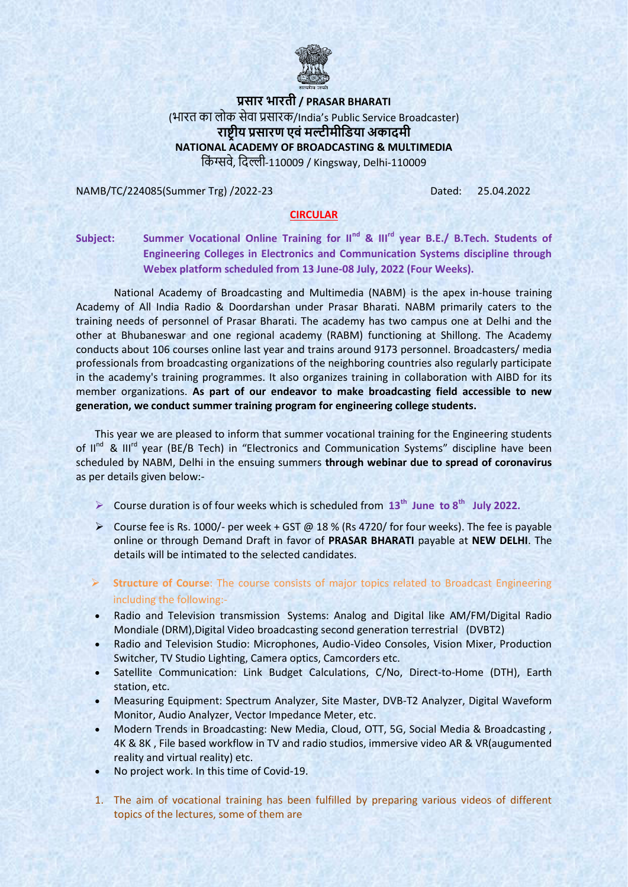

## **प्रसार भारती / PRASAR BHARATI**  (भारत का लोक सेवा प्रसारक/India's Public Service Broadcaster) **राष्ट्रीय प्रसारण एवंमल्टीमीडिया अकादमी NATIONAL ACADEMY OF BROADCASTING & MULTIMEDIA**  ककिं ग्सवे, किल्ली-110009 / Kingsway, Delhi-110009

NAMB/TC/224085(Summer Trg) /2022-23 Dated: 25.04.2022

## **CIRCULAR**

Subject: Summer Vocational Online Training for II<sup>nd</sup> & III<sup>rd</sup> year B.E./ B.Tech. Students of **Engineering Colleges in Electronics and Communication Systems discipline through Webex platform scheduled from 13 June-08 July, 2022 (Four Weeks).**

National Academy of Broadcasting and Multimedia (NABM) is the apex in-house training Academy of All India Radio & Doordarshan under Prasar Bharati. NABM primarily caters to the training needs of personnel of Prasar Bharati. The academy has two campus one at Delhi and the other at Bhubaneswar and one regional academy (RABM) functioning at Shillong. The Academy conducts about 106 courses online last year and trains around 9173 personnel. Broadcasters/ media professionals from broadcasting organizations of the neighboring countries also regularly participate in the academy's training programmes. It also organizes training in collaboration with AIBD for its member organizations. **As part of our endeavor to make broadcasting field accessible to new generation, we conduct summer training program for engineering college students.** 

This year we are pleased to inform that summer vocational training for the Engineering students of II<sup>nd</sup> & III<sup>rd</sup> year (BE/B Tech) in "Electronics and Communication Systems" discipline have been scheduled by NABM, Delhi in the ensuing summers **through webinar due to spread of coronavirus** as per details given below:-

- ▶ Course duration is of four weeks which is scheduled from  $13<sup>th</sup>$  June to  $8<sup>th</sup>$  July 2022.
- Course fee is Rs. 1000/- per week + GST @ 18 % (Rs 4720/ for four weeks). The fee is payable online or through Demand Draft in favor of **PRASAR BHARATI** payable at **NEW DELHI**. The details will be intimated to the selected candidates.
- **Structure of Course**: The course consists of major topics related to Broadcast Engineering including the following:-
- Radio and Television transmission Systems: Analog and Digital like AM/FM/Digital Radio Mondiale (DRM),Digital Video broadcasting second generation terrestrial (DVBT2)
- Radio and Television Studio: Microphones, Audio-Video Consoles, Vision Mixer, Production Switcher, TV Studio Lighting, Camera optics, Camcorders etc.
- Satellite Communication: Link Budget Calculations, C/No, Direct-to-Home (DTH), Earth station, etc.
- Measuring Equipment: Spectrum Analyzer, Site Master, DVB-T2 Analyzer, Digital Waveform Monitor, Audio Analyzer, Vector Impedance Meter, etc.
- Modern Trends in Broadcasting: New Media, Cloud, OTT, 5G, Social Media & Broadcasting , 4K & 8K , File based workflow in TV and radio studios, immersive video AR & VR(augumented reality and virtual reality) etc.
- No project work. In this time of Covid-19.
- 1. The aim of vocational training has been fulfilled by preparing various videos of different topics of the lectures, some of them are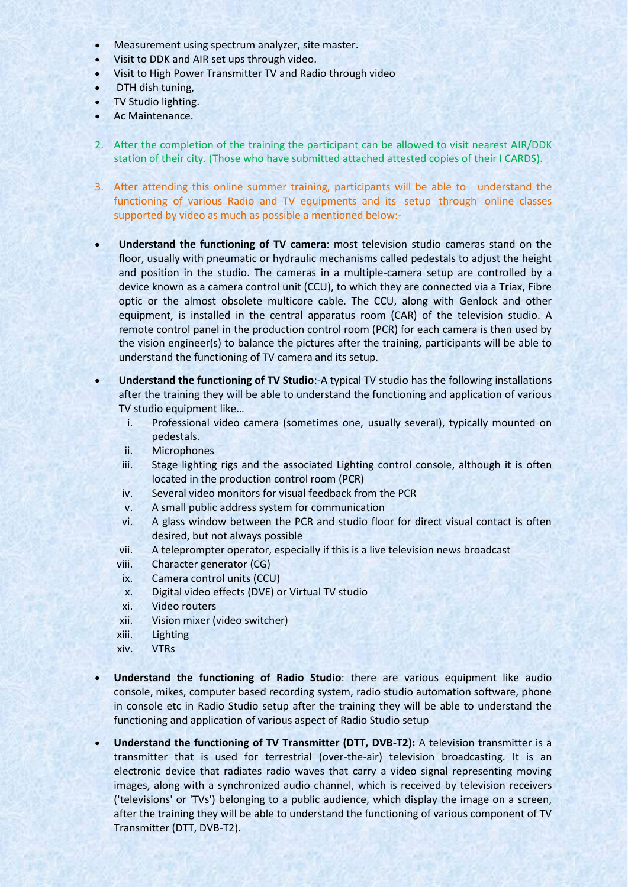- Measurement using spectrum analyzer, site master.
- Visit to DDK and AIR set ups through video.
- Visit to High Power Transmitter TV and Radio through video
- DTH dish tuning,
- TV Studio lighting.
- Ac Maintenance.
- 2. After the completion of the training the participant can be allowed to visit nearest AIR/DDK station of their city. (Those who have submitted attached attested copies of their I CARDS).
- 3. After attending this online summer training, participants will be able to understand the functioning of various Radio and TV equipments and its setup through online classes supported by video as much as possible a mentioned below:-
- **Understand the functioning of TV camera**: most television studio cameras stand on the floor, usually with pneumatic or hydraulic mechanisms called pedestals to adjust the height and position in the studio. The cameras in a multiple-camera setup are controlled by a device known as a camera control unit (CCU), to which they are connected via a Triax, Fibre optic or the almost obsolete multicore cable. The CCU, along with Genlock and other equipment, is installed in the central apparatus room (CAR) of the television studio. A remote control panel in the production control room (PCR) for each camera is then used by the vision engineer(s) to balance the pictures after the training, participants will be able to understand the functioning of TV camera and its setup.
- **Understand the functioning of TV Studio**:-A typical TV studio has the following installations after the training they will be able to understand the functioning and application of various TV studio equipment like…
	- i. Professional video camera (sometimes one, usually several), typically mounted on pedestals.
	- ii. Microphones
	- iii. Stage lighting rigs and the associated Lighting control console, although it is often located in the production control room (PCR)
	- iv. Several video monitors for visual feedback from the PCR
	- v. A small public address system for communication
	- vi. A glass window between the PCR and studio floor for direct visual contact is often desired, but not always possible
	- vii. A teleprompter operator, especially if this is a live television news broadcast
	- viii. Character generator (CG)
	- ix. Camera control units (CCU)
	- x. Digital video effects (DVE) or Virtual TV studio
	- xi. Video routers
	- xii. Vision mixer (video switcher)
	- xiii. Lighting
	- xiv. VTRs
- **Understand the functioning of Radio Studio**: there are various equipment like audio console, mikes, computer based recording system, radio studio automation software, phone in console etc in Radio Studio setup after the training they will be able to understand the functioning and application of various aspect of Radio Studio setup
- **Understand the functioning of TV Transmitter (DTT, DVB-T2):** A television transmitter is a transmitter that is used for terrestrial (over-the-air) television broadcasting. It is an electronic device that radiates radio waves that carry a video signal representing moving images, along with a synchronized audio channel, which is received by television receivers ('televisions' or 'TVs') belonging to a public audience, which display the image on a screen, after the training they will be able to understand the functioning of various component of TV Transmitter (DTT, DVB-T2).